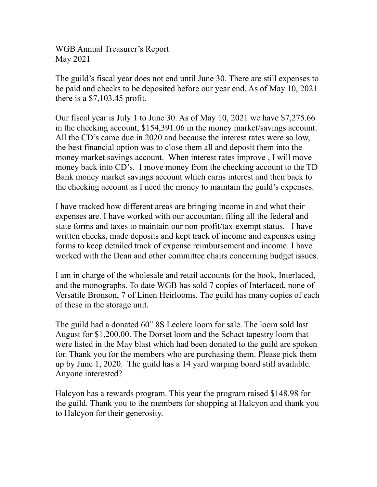WGB Annual Treasurer's Report May 2021

The guild's fiscal year does not end until June 30. There are still expenses to be paid and checks to be deposited before our year end. As of May 10, 2021 there is a \$7,103.45 profit.

Our fiscal year is July 1 to June 30. As of May 10, 2021 we have \$7,275.66 in the checking account; \$154,391.06 in the money market/savings account. All the CD's came due in 2020 and because the interest rates were so low, the best financial option was to close them all and deposit them into the money market savings account. When interest rates improve , I will move money back into CD's. I move money from the checking account to the TD Bank money market savings account which earns interest and then back to the checking account as I need the money to maintain the guild's expenses.

I have tracked how different areas are bringing income in and what their expenses are. I have worked with our accountant filing all the federal and state forms and taxes to maintain our non-profit/tax-exempt status. I have written checks, made deposits and kept track of income and expenses using forms to keep detailed track of expense reimbursement and income. I have worked with the Dean and other committee chairs concerning budget issues.

I am in charge of the wholesale and retail accounts for the book, Interlaced, and the monographs. To date WGB has sold 7 copies of Interlaced, none of Versatile Bronson, 7 of Linen Heirlooms. The guild has many copies of each of these in the storage unit.

The guild had a donated 60" 8S Leclerc loom for sale. The loom sold last August for \$1,200.00. The Dorset loom and the Schact tapestry loom that were listed in the May blast which had been donated to the guild are spoken for. Thank you for the members who are purchasing them. Please pick them up by June 1, 2020. The guild has a 14 yard warping board still available. Anyone interested?

Halcyon has a rewards program. This year the program raised \$148.98 for the guild. Thank you to the members for shopping at Halcyon and thank you to Halcyon for their generosity.